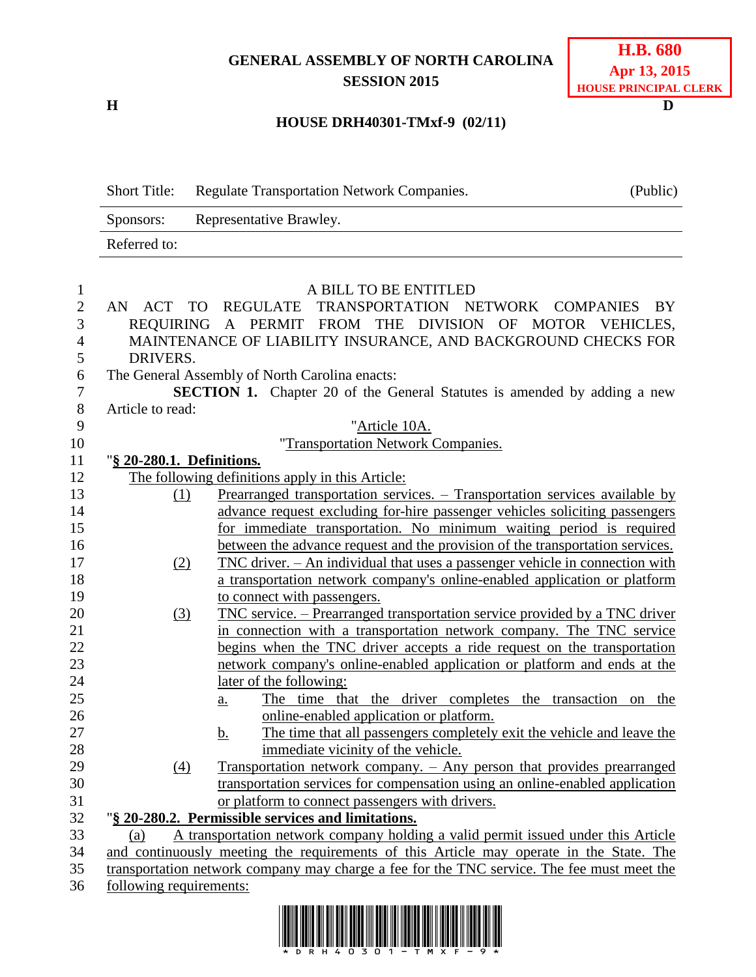# **GENERAL ASSEMBLY OF NORTH CAROLINA SESSION 2015**

**H D**

# **H.B. 680 Apr 13, 2015 HOUSE PRINCIPAL CLERK**

## **HOUSE DRH40301-TMxf-9 (02/11)**

Short Title: Regulate Transportation Network Companies. (Public) Sponsors: Representative Brawley. Referred to: A BILL TO BE ENTITLED AN ACT TO REGULATE TRANSPORTATION NETWORK COMPANIES BY REQUIRING A PERMIT FROM THE DIVISION OF MOTOR VEHICLES, MAINTENANCE OF LIABILITY INSURANCE, AND BACKGROUND CHECKS FOR DRIVERS. The General Assembly of North Carolina enacts: **SECTION 1.** Chapter 20 of the General Statutes is amended by adding a new Article to read: "Article 10A. "Transportation Network Companies. "**§ 20-280.1. Definitions.** The following definitions apply in this Article: (1) Prearranged transportation services. – Transportation services available by advance request excluding for-hire passenger vehicles soliciting passengers for immediate transportation. No minimum waiting period is required between the advance request and the provision of the transportation services. (2) TNC driver. – An individual that uses a passenger vehicle in connection with a transportation network company's online-enabled application or platform to connect with passengers. (3) TNC service. – Prearranged transportation service provided by a TNC driver in connection with a transportation network company. The TNC service begins when the TNC driver accepts a ride request on the transportation network company's online-enabled application or platform and ends at the later of the following: a. The time that the driver completes the transaction on the online-enabled application or platform. 27 b. The time that all passengers completely exit the vehicle and leave the immediate vicinity of the vehicle. (4) Transportation network company. – Any person that provides prearranged transportation services for compensation using an online-enabled application or platform to connect passengers with drivers. "**§ 20-280.2. Permissible services and limitations.** (a) A transportation network company holding a valid permit issued under this Article and continuously meeting the requirements of this Article may operate in the State. The transportation network company may charge a fee for the TNC service. The fee must meet the following requirements:

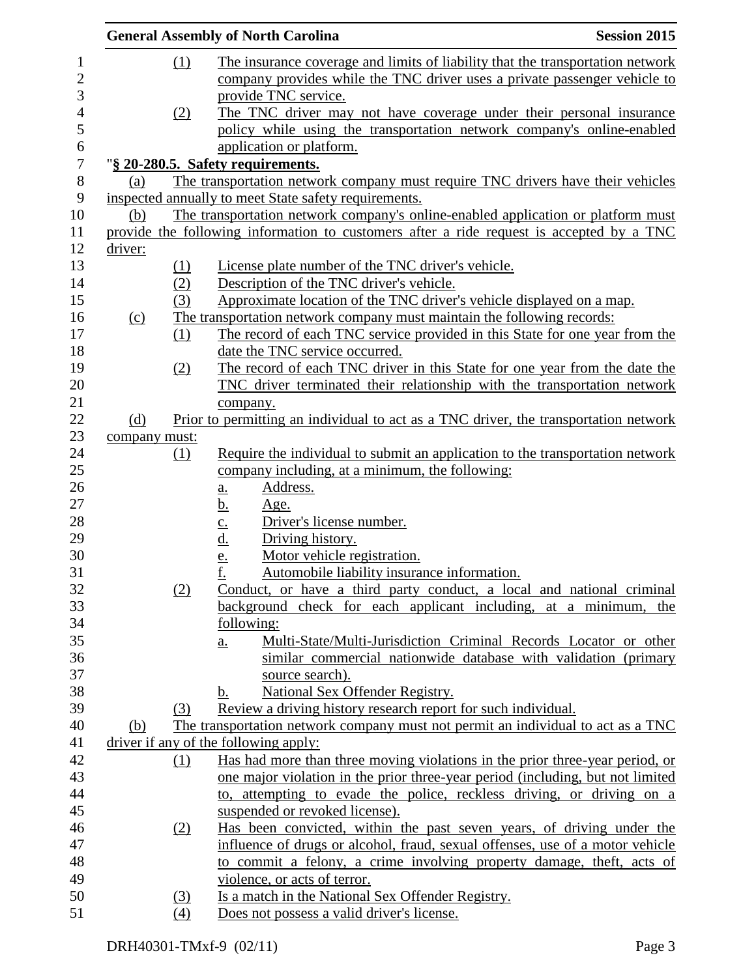|               |     | <b>General Assembly of North Carolina</b><br><b>Session 2015</b>                                                                                       |  |
|---------------|-----|--------------------------------------------------------------------------------------------------------------------------------------------------------|--|
|               | (1) | The insurance coverage and limits of liability that the transportation network                                                                         |  |
|               |     | company provides while the TNC driver uses a private passenger vehicle to                                                                              |  |
|               |     | provide TNC service.                                                                                                                                   |  |
|               | (2) | The TNC driver may not have coverage under their personal insurance                                                                                    |  |
|               |     | policy while using the transportation network company's online-enabled                                                                                 |  |
|               |     | application or platform.                                                                                                                               |  |
|               |     | "§ 20-280.5. Safety requirements.                                                                                                                      |  |
| (a)           |     | The transportation network company must require TNC drivers have their vehicles                                                                        |  |
|               |     | inspected annually to meet State safety requirements.                                                                                                  |  |
| (b)           |     | The transportation network company's online-enabled application or platform must                                                                       |  |
|               |     | provide the following information to customers after a ride request is accepted by a TNC                                                               |  |
| driver:       |     |                                                                                                                                                        |  |
|               | (1) | License plate number of the TNC driver's vehicle.                                                                                                      |  |
|               | (2) | Description of the TNC driver's vehicle.                                                                                                               |  |
|               | (3) | Approximate location of the TNC driver's vehicle displayed on a map.                                                                                   |  |
| (c)           |     | The transportation network company must maintain the following records:                                                                                |  |
|               | (1) | The record of each TNC service provided in this State for one year from the                                                                            |  |
|               |     | date the TNC service occurred.                                                                                                                         |  |
|               | (2) | The record of each TNC driver in this State for one year from the date the<br>TNC driver terminated their relationship with the transportation network |  |
|               |     | company.                                                                                                                                               |  |
| (d)           |     | Prior to permitting an individual to act as a TNC driver, the transportation network                                                                   |  |
| company must: |     |                                                                                                                                                        |  |
|               | (1) | Require the individual to submit an application to the transportation network                                                                          |  |
|               |     | company including, at a minimum, the following:                                                                                                        |  |
|               |     | Address.<br>$\underline{\mathbf{a}}$ .                                                                                                                 |  |
|               |     | <u>b.</u><br><u>Age.</u>                                                                                                                               |  |
|               |     | Driver's license number.                                                                                                                               |  |
|               |     | Driving history.                                                                                                                                       |  |
|               |     | $rac{\underline{c}}{\underline{d}}$ .<br>$rac{\underline{e}}{\underline{f}}$ .<br>Motor vehicle registration.                                          |  |
|               |     | Automobile liability insurance information.                                                                                                            |  |
|               | (2) | Conduct, or have a third party conduct, a local and national criminal                                                                                  |  |
|               |     | background check for each applicant including, at a minimum, the                                                                                       |  |
|               |     | following:                                                                                                                                             |  |
|               |     | Multi-State/Multi-Jurisdiction Criminal Records Locator or other<br><u>a.</u>                                                                          |  |
|               |     | similar commercial nationwide database with validation (primary<br>source search).                                                                     |  |
|               |     | National Sex Offender Registry.<br>b.                                                                                                                  |  |
|               | (3) | Review a driving history research report for such individual.                                                                                          |  |
| (b)           |     | The transportation network company must not permit an individual to act as a TNC                                                                       |  |
|               |     | driver if any of the following apply:                                                                                                                  |  |
|               | (1) | Has had more than three moving violations in the prior three-year period, or                                                                           |  |
|               |     | one major violation in the prior three-year period (including, but not limited                                                                         |  |
|               |     | to, attempting to evade the police, reckless driving, or driving on a                                                                                  |  |
|               |     | suspended or revoked license).                                                                                                                         |  |
|               | (2) | Has been convicted, within the past seven years, of driving under the                                                                                  |  |
|               |     | influence of drugs or alcohol, fraud, sexual offenses, use of a motor vehicle                                                                          |  |
|               |     | to commit a felony, a crime involving property damage, theft, acts of                                                                                  |  |
|               |     | violence, or acts of terror.                                                                                                                           |  |
|               | (3) | Is a match in the National Sex Offender Registry.                                                                                                      |  |
|               | (4) | Does not possess a valid driver's license.                                                                                                             |  |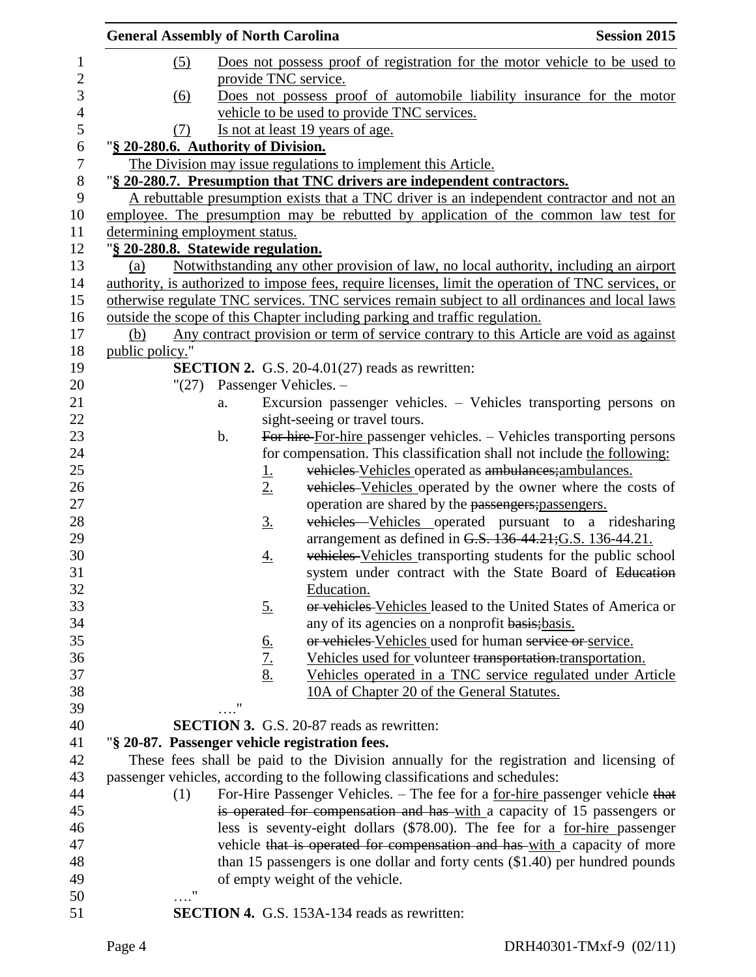| <b>General Assembly of North Carolina</b>      |                            |                                                                                                    | <b>Session 2015</b>                                            |
|------------------------------------------------|----------------------------|----------------------------------------------------------------------------------------------------|----------------------------------------------------------------|
| (5)                                            |                            | Does not possess proof of registration for the motor vehicle to be used to                         |                                                                |
|                                                |                            | provide TNC service.                                                                               |                                                                |
| (6)                                            |                            | Does not possess proof of automobile liability insurance for the motor                             |                                                                |
|                                                |                            | vehicle to be used to provide TNC services.                                                        |                                                                |
| (7)                                            |                            | Is not at least 19 years of age.                                                                   |                                                                |
| "§ 20-280.6. Authority of Division.            |                            |                                                                                                    |                                                                |
|                                                |                            | The Division may issue regulations to implement this Article.                                      |                                                                |
|                                                |                            | "§ 20-280.7. Presumption that TNC drivers are independent contractors.                             |                                                                |
|                                                |                            | A rebuttable presumption exists that a TNC driver is an independent contractor and not an          |                                                                |
|                                                |                            | employee. The presumption may be rebutted by application of the common law test for                |                                                                |
| determining employment status.                 |                            |                                                                                                    |                                                                |
| "§ 20-280.8. Statewide regulation.             |                            |                                                                                                    |                                                                |
| (a)                                            |                            | Notwithstanding any other provision of law, no local authority, including an airport               |                                                                |
|                                                |                            | authority, is authorized to impose fees, require licenses, limit the operation of TNC services, or |                                                                |
|                                                |                            | otherwise regulate TNC services. TNC services remain subject to all ordinances and local laws      |                                                                |
|                                                |                            | outside the scope of this Chapter including parking and traffic regulation.                        |                                                                |
| (b)                                            |                            | Any contract provision or term of service contrary to this Article are void as against             |                                                                |
| public policy."                                |                            |                                                                                                    |                                                                |
|                                                |                            | <b>SECTION 2.</b> G.S. 20-4.01(27) reads as rewritten:                                             |                                                                |
| "(27)                                          |                            | Passenger Vehicles. -                                                                              |                                                                |
| a.                                             |                            | Excursion passenger vehicles. – Vehicles transporting persons on                                   |                                                                |
|                                                |                            | sight-seeing or travel tours.                                                                      |                                                                |
| $\mathbf b$ .                                  |                            | For hire-For-hire passenger vehicles. - Vehicles transporting persons                              |                                                                |
|                                                |                            | for compensation. This classification shall not include the following:                             |                                                                |
|                                                | <u>1.</u>                  | vehicles Vehicles operated as ambulances; ambulances.                                              |                                                                |
|                                                | 2.                         |                                                                                                    | vehicles Vehicles operated by the owner where the costs of     |
|                                                |                            | operation are shared by the passengers; passengers.                                                |                                                                |
|                                                | <u>3.</u>                  | arrangement as defined in G.S. 136-44.21; G.S. 136-44.21.                                          | vehicles Vehicles operated pursuant to a ridesharing           |
|                                                |                            |                                                                                                    | vehicles Vehicles transporting students for the public school  |
|                                                | <u>4.</u>                  |                                                                                                    | system under contract with the State Board of Education        |
|                                                |                            | Education.                                                                                         |                                                                |
|                                                | <u>5.</u>                  |                                                                                                    | or vehicles Vehicles leased to the United States of America or |
|                                                |                            | any of its agencies on a nonprofit basis; basis.                                                   |                                                                |
|                                                |                            | or vehicles Vehicles used for human service or service.                                            |                                                                |
|                                                | $rac{6}{7}$<br>$rac{7}{8}$ | Vehicles used for volunteer transportation.transportation.                                         |                                                                |
|                                                |                            |                                                                                                    | Vehicles operated in a TNC service regulated under Article     |
|                                                |                            | 10A of Chapter 20 of the General Statutes.                                                         |                                                                |
| "                                              |                            |                                                                                                    |                                                                |
|                                                |                            | <b>SECTION 3.</b> G.S. 20-87 reads as rewritten:                                                   |                                                                |
| "§ 20-87. Passenger vehicle registration fees. |                            |                                                                                                    |                                                                |
|                                                |                            | These fees shall be paid to the Division annually for the registration and licensing of            |                                                                |
|                                                |                            | passenger vehicles, according to the following classifications and schedules:                      |                                                                |
| (1)                                            |                            | For-Hire Passenger Vehicles. - The fee for a <u>for-hire</u> passenger vehicle that                |                                                                |
|                                                |                            | is operated for compensation and has with a capacity of 15 passengers or                           |                                                                |
|                                                |                            | less is seventy-eight dollars (\$78.00). The fee for a for-hire passenger                          |                                                                |
|                                                |                            | vehicle that is operated for compensation and has-with a capacity of more                          |                                                                |
|                                                |                            | than 15 passengers is one dollar and forty cents (\$1.40) per hundred pounds                       |                                                                |
|                                                |                            | of empty weight of the vehicle.                                                                    |                                                                |
| $\pmb{\mathsf{H}}$                             |                            |                                                                                                    |                                                                |
|                                                |                            | <b>SECTION 4.</b> G.S. 153A-134 reads as rewritten:                                                |                                                                |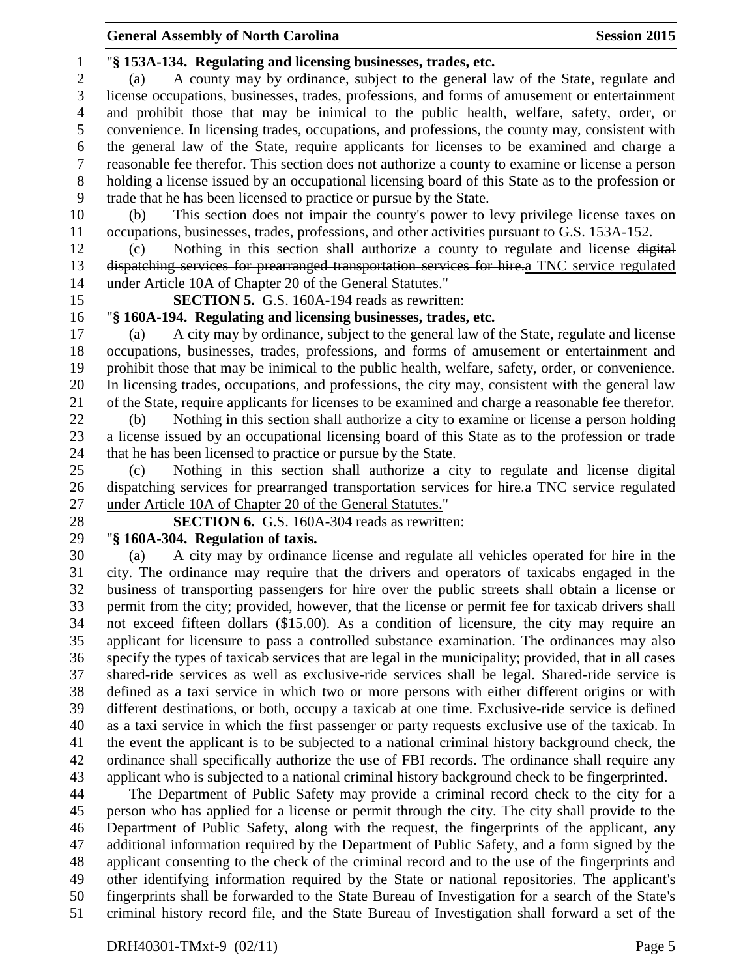### "**§ 153A-134. Regulating and licensing businesses, trades, etc.**

 (a) A county may by ordinance, subject to the general law of the State, regulate and license occupations, businesses, trades, professions, and forms of amusement or entertainment and prohibit those that may be inimical to the public health, welfare, safety, order, or convenience. In licensing trades, occupations, and professions, the county may, consistent with the general law of the State, require applicants for licenses to be examined and charge a reasonable fee therefor. This section does not authorize a county to examine or license a person holding a license issued by an occupational licensing board of this State as to the profession or trade that he has been licensed to practice or pursue by the State.

 (b) This section does not impair the county's power to levy privilege license taxes on occupations, businesses, trades, professions, and other activities pursuant to G.S. 153A-152.

 (c) Nothing in this section shall authorize a county to regulate and license digital dispatching services for prearranged transportation services for hire.a TNC service regulated under Article 10A of Chapter 20 of the General Statutes."

**SECTION 5.** G.S. 160A-194 reads as rewritten:

## "**§ 160A-194. Regulating and licensing businesses, trades, etc.**

 (a) A city may by ordinance, subject to the general law of the State, regulate and license occupations, businesses, trades, professions, and forms of amusement or entertainment and prohibit those that may be inimical to the public health, welfare, safety, order, or convenience. In licensing trades, occupations, and professions, the city may, consistent with the general law of the State, require applicants for licenses to be examined and charge a reasonable fee therefor.

 (b) Nothing in this section shall authorize a city to examine or license a person holding a license issued by an occupational licensing board of this State as to the profession or trade that he has been licensed to practice or pursue by the State.

 (c) Nothing in this section shall authorize a city to regulate and license digital dispatching services for prearranged transportation services for hire.a TNC service regulated under Article 10A of Chapter 20 of the General Statutes."

**SECTION 6.** G.S. 160A-304 reads as rewritten:

## "**§ 160A-304. Regulation of taxis.**

 (a) A city may by ordinance license and regulate all vehicles operated for hire in the city. The ordinance may require that the drivers and operators of taxicabs engaged in the business of transporting passengers for hire over the public streets shall obtain a license or permit from the city; provided, however, that the license or permit fee for taxicab drivers shall not exceed fifteen dollars (\$15.00). As a condition of licensure, the city may require an applicant for licensure to pass a controlled substance examination. The ordinances may also specify the types of taxicab services that are legal in the municipality; provided, that in all cases shared-ride services as well as exclusive-ride services shall be legal. Shared-ride service is defined as a taxi service in which two or more persons with either different origins or with different destinations, or both, occupy a taxicab at one time. Exclusive-ride service is defined as a taxi service in which the first passenger or party requests exclusive use of the taxicab. In the event the applicant is to be subjected to a national criminal history background check, the ordinance shall specifically authorize the use of FBI records. The ordinance shall require any applicant who is subjected to a national criminal history background check to be fingerprinted.

 The Department of Public Safety may provide a criminal record check to the city for a person who has applied for a license or permit through the city. The city shall provide to the Department of Public Safety, along with the request, the fingerprints of the applicant, any additional information required by the Department of Public Safety, and a form signed by the applicant consenting to the check of the criminal record and to the use of the fingerprints and other identifying information required by the State or national repositories. The applicant's fingerprints shall be forwarded to the State Bureau of Investigation for a search of the State's criminal history record file, and the State Bureau of Investigation shall forward a set of the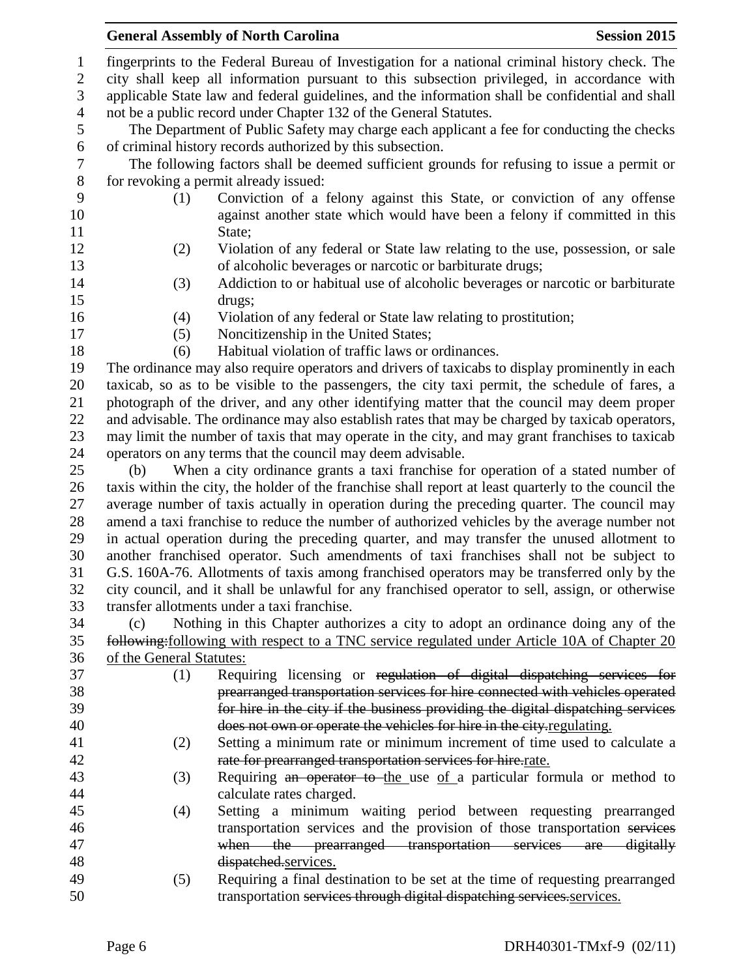## **General Assembly of North Carolina Session 2015**

 fingerprints to the Federal Bureau of Investigation for a national criminal history check. The city shall keep all information pursuant to this subsection privileged, in accordance with applicable State law and federal guidelines, and the information shall be confidential and shall not be a public record under Chapter 132 of the General Statutes.

 The Department of Public Safety may charge each applicant a fee for conducting the checks 6 of criminal history records authorized by this subsection.<br>
The following factors shall be deemed sufficient gro

 The following factors shall be deemed sufficient grounds for refusing to issue a permit or for revoking a permit already issued:

- 
- (1) Conviction of a felony against this State, or conviction of any offense against another state which would have been a felony if committed in this 11 State:
- (2) Violation of any federal or State law relating to the use, possession, or sale of alcoholic beverages or narcotic or barbiturate drugs;
- (3) Addiction to or habitual use of alcoholic beverages or narcotic or barbiturate drugs;
- 
- (4) Violation of any federal or State law relating to prostitution; (5) Noncitizenship in the United States;
- 

(6) Habitual violation of traffic laws or ordinances.

 The ordinance may also require operators and drivers of taxicabs to display prominently in each taxicab, so as to be visible to the passengers, the city taxi permit, the schedule of fares, a photograph of the driver, and any other identifying matter that the council may deem proper and advisable. The ordinance may also establish rates that may be charged by taxicab operators, may limit the number of taxis that may operate in the city, and may grant franchises to taxicab operators on any terms that the council may deem advisable.

 (b) When a city ordinance grants a taxi franchise for operation of a stated number of taxis within the city, the holder of the franchise shall report at least quarterly to the council the average number of taxis actually in operation during the preceding quarter. The council may amend a taxi franchise to reduce the number of authorized vehicles by the average number not in actual operation during the preceding quarter, and may transfer the unused allotment to another franchised operator. Such amendments of taxi franchises shall not be subject to G.S. 160A-76. Allotments of taxis among franchised operators may be transferred only by the city council, and it shall be unlawful for any franchised operator to sell, assign, or otherwise transfer allotments under a taxi franchise.

 (c) Nothing in this Chapter authorizes a city to adopt an ordinance doing any of the following:following with respect to a TNC service regulated under Article 10A of Chapter 20 of the General Statutes:

 (1) Requiring licensing or regulation of digital dispatching services for prearranged transportation services for hire connected with vehicles operated for hire in the city if the business providing the digital dispatching services does not own or operate the vehicles for hire in the city.regulating. (2) Setting a minimum rate or minimum increment of time used to calculate a rate for prearranged transportation services for hire.rate. 43 (3) Requiring an operator to the use of a particular formula or method to calculate rates charged. (4) Setting a minimum waiting period between requesting prearranged transportation services and the provision of those transportation services when the prearranged transportation services are digitally dispatched.services. (5) Requiring a final destination to be set at the time of requesting prearranged 50 transportation services through digital dispatching services. Services.